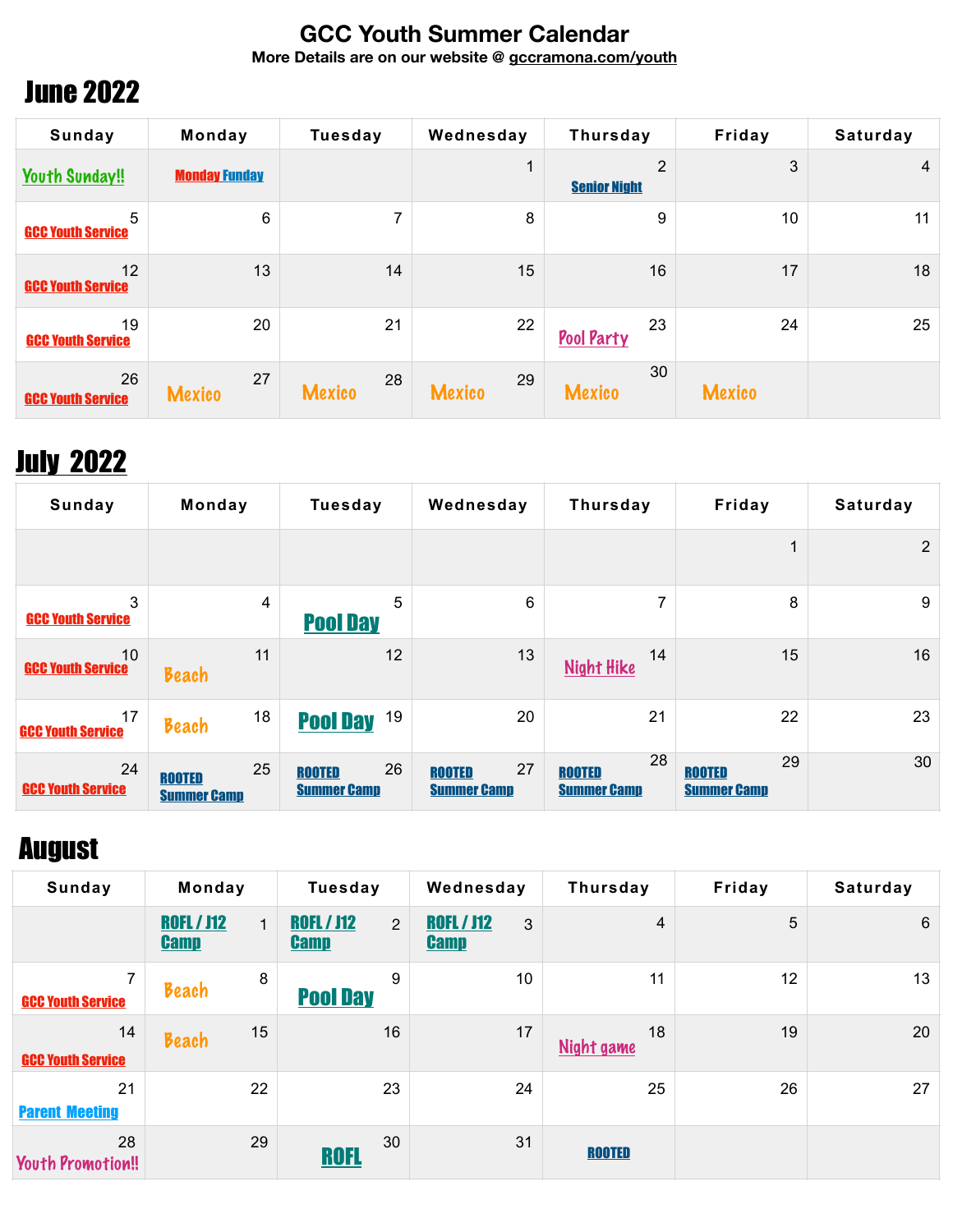#### **GCC Youth Summer Calendar**

**More Details are on our website @ [gccramona.com/youth](http://gccramona.com/youth)**

### June 2022

| Sunday                         | Monday               | <b>Tuesday</b>      | Wednesday           | Thursday                 | Friday        | Saturday       |
|--------------------------------|----------------------|---------------------|---------------------|--------------------------|---------------|----------------|
| <b>Youth Sunday!!</b>          | <b>Monday Funday</b> |                     |                     | 2<br><b>Senior Night</b> | 3             | $\overline{4}$ |
| 5<br><b>GCC Youth Service</b>  | 6                    | 7                   | 8                   | 9                        | 10            | 11             |
| 12<br><b>GCC Youth Service</b> | 13                   | 14                  | 15                  | 16                       | 17            | 18             |
| 19<br><b>GCC Youth Service</b> | 20                   | 21                  | 22                  | 23<br>Pool Party         | 24            | 25             |
| 26<br><b>GCC Youth Service</b> | 27<br><b>Mexico</b>  | 28<br><b>Mexico</b> | 29<br><b>Mexico</b> | 30<br><b>Mexico</b>      | <b>Mexico</b> |                |

## **July 2022**

| Sunday                         | Monday                                    | <b>Tuesday</b>                            | Wednesday                                 | Thursday                                  | Friday                                    | Saturday       |
|--------------------------------|-------------------------------------------|-------------------------------------------|-------------------------------------------|-------------------------------------------|-------------------------------------------|----------------|
|                                |                                           |                                           |                                           |                                           | 1                                         | $\overline{2}$ |
| 3<br><b>GCC Youth Service</b>  | $\overline{4}$                            | 5<br><b>Pool Day</b>                      | 6                                         | 7                                         | 8                                         | 9              |
| 10<br><b>GCC Youth Service</b> | 11<br>Beach                               | 12                                        | 13                                        | 14<br><b>Night Hike</b>                   | 15                                        | 16             |
| 17<br><b>GCC Youth Service</b> | 18<br>Beach                               | 19<br><b>Pool Day</b>                     | 20                                        | 21                                        | 22                                        | 23             |
| 24<br><b>GCC Youth Service</b> | 25<br><b>ROOTED</b><br><b>Summer Camp</b> | 26<br><b>ROOTED</b><br><b>Summer Camp</b> | 27<br><b>ROOTED</b><br><b>Summer Camp</b> | 28<br><b>ROOTED</b><br><b>Summer Camp</b> | 29<br><b>ROOTED</b><br><b>Summer Camp</b> | 30             |

#### August

| Sunday                                     | Monday                                           | <b>Tuesday</b>                                     | Wednesday                             | Thursday         | Friday | <b>Saturday</b> |
|--------------------------------------------|--------------------------------------------------|----------------------------------------------------|---------------------------------------|------------------|--------|-----------------|
|                                            | <b>ROFL / J12</b><br>$\mathbf{1}$<br><b>Camp</b> | <b>ROFL / J12</b><br>$\overline{2}$<br><b>Camp</b> | <b>ROFL / J12</b><br>3<br><b>Camp</b> | 4                | 5      | 6               |
| $\overline{7}$<br><b>GCC Youth Service</b> | 8<br>Beach                                       | 9<br><b>Pool Day</b>                               | 10                                    | 11               | 12     | 13              |
| 14<br><b>GCC Youth Service</b>             | 15<br>Beach                                      | 16                                                 | 17                                    | 18<br>Night game | 19     | 20              |
| 21<br><b>Parent Meeting</b>                | 22                                               | 23                                                 | 24                                    | 25               | 26     | 27              |
| 28<br><b>Youth Promotion!!</b>             | 29                                               | 30<br><b>ROFL</b>                                  | 31                                    | <b>ROOTED</b>    |        |                 |